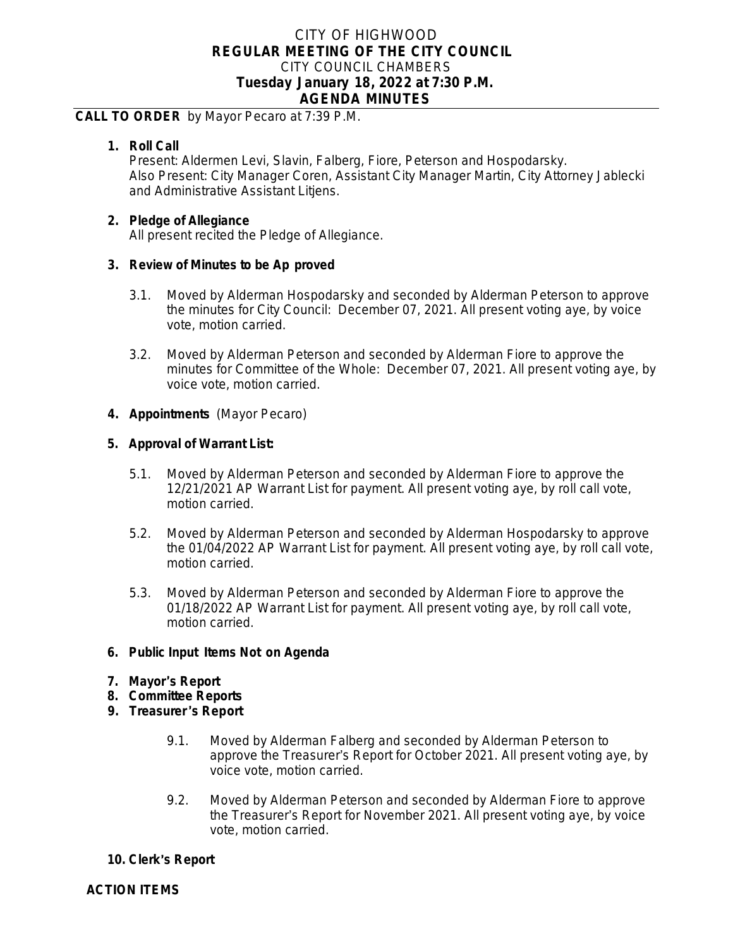# CITY OF HIGHWOOD **REGULAR MEETING OF THE CITY COUNCIL** CITY COUNCIL CHAMBERS **Tuesday January 18, 2022 at 7:30 P.M. AGENDA MINUTES**

### **CALL TO ORDER** by Mayor Pecaro at 7:39 P.M.

### **1. Roll Call**

Present: Aldermen Levi, Slavin, Falberg, Fiore, Peterson and Hospodarsky. Also Present: City Manager Coren, Assistant City Manager Martin, City Attorney Jablecki and Administrative Assistant Litjens.

#### **2. Pledge of Allegiance**

All present recited the Pledge of Allegiance.

### **3. Review of Minutes to be Ap proved**

- 3.1. Moved by Alderman Hospodarsky and seconded by Alderman Peterson to approve the minutes for City Council: December 07, 2021. All present voting aye, by voice vote, motion carried.
- 3.2. Moved by Alderman Peterson and seconded by Alderman Fiore to approve the minutes for Committee of the Whole: December 07, 2021. All present voting aye, by voice vote, motion carried.

### **4. Appointments** (Mayor Pecaro)

### **5. Approval of Warrant List:**

- 5.1. Moved by Alderman Peterson and seconded by Alderman Fiore to approve the 12/21/2021 AP Warrant List for payment. All present voting aye, by roll call vote, motion carried.
- 5.2. Moved by Alderman Peterson and seconded by Alderman Hospodarsky to approve the 01/04/2022 AP Warrant List for payment. All present voting aye, by roll call vote, motion carried.
- 5.3. Moved by Alderman Peterson and seconded by Alderman Fiore to approve the 01/18/2022 AP Warrant List for payment. All present voting aye, by roll call vote, motion carried.

## **6. Public Input Items Not on Agenda**

- **7. Mayor**'**s Report**
- **8. Committee Reports**
- **9. Treasurer** '**s Report**
	- 9.1. Moved by Alderman Falberg and seconded by Alderman Peterson to approve the Treasurer's Report for October 2021. All present voting aye, by voice vote, motion carried.
	- 9.2. Moved by Alderman Peterson and seconded by Alderman Fiore to approve the Treasurer's Report for November 2021. All present voting aye, by voice vote, motion carried.

## **10. Clerk**'**s Report**

**ACTION ITEMS**